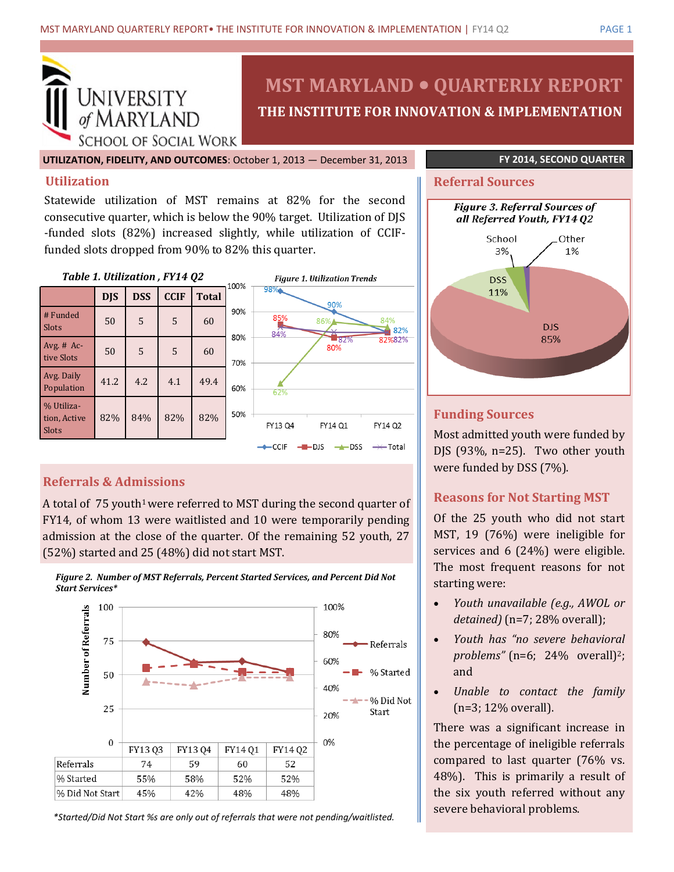

**MST MARYLAND QUARTERLY REPORT THE INSTITUTE FOR INNOVATION & IMPLEMENTATION**

**UTILIZATION, FIDELITY, AND OUTCOMES**: October 1, 2013 — December 31, 2013 **FY 2014, SECOND QUARTER**

## **Utilization**

Statewide utilization of MST remains at 82% for the second consecutive quarter, which is below the 90% target. Utilization of DJS -funded slots (82%) increased slightly, while utilization of CCIFfunded slots dropped from 90% to 82% this quarter.

#### *Table 1. Utilization , FY14 Q2*

|                                     | <b>DJS</b> | <b>DSS</b> | <b>CCIF</b> | <b>Total</b> | ∸∽       |
|-------------------------------------|------------|------------|-------------|--------------|----------|
| # Funded<br>Slots                   | 50         | 5          | 5           | 60           | 90       |
| Avg. $#$ Ac-<br>tive Slots          | 50         | 5          | 5           | 60           | 80<br>70 |
| Avg. Daily<br>Population            | 41.2       | 4.2        | 4.1         | 49.4         | 60       |
| % Utiliza-<br>tion, Active<br>Slots | 82%        | 84%        | 82%         | 82%          | 50       |



# **Referral Sources**



## **Funding Sources**

Most admitted youth were funded by DJS  $(93\%$ , n=25). Two other youth were funded by DSS (7%).

# **Reasons for Not Starting MST**

Of the 25 youth who did not start MST, 19 (76%) were ineligible for services and 6 (24%) were eligible. The most frequent reasons for not starting were:

- *Youth unavailable (e.g., AWOL or detained)* (n=7; 28% overall);
- *Youth has "no severe behavioral problems"* (n=6; 24% overall)<sup>2</sup>; and
- *Unable to contact the family*  (n=3; 12% overall).

There was a significant increase in the percentage of ineligible referrals compared to last quarter (76% vs. 48%). This is primarily a result of the six youth referred without any severe behavioral problems.

# **Referrals & Admissions**

A total of  $75$  youth<sup>1</sup> were referred to MST during the second quarter of FY14, of whom 13 were waitlisted and 10 were temporarily pending admission at the close of the quarter. Of the remaining 52 youth, 27 (52%) started and 25 (48%) did not start MST.





*\*Started/Did Not Start %s are only out of referrals that were not pending/waitlisted.*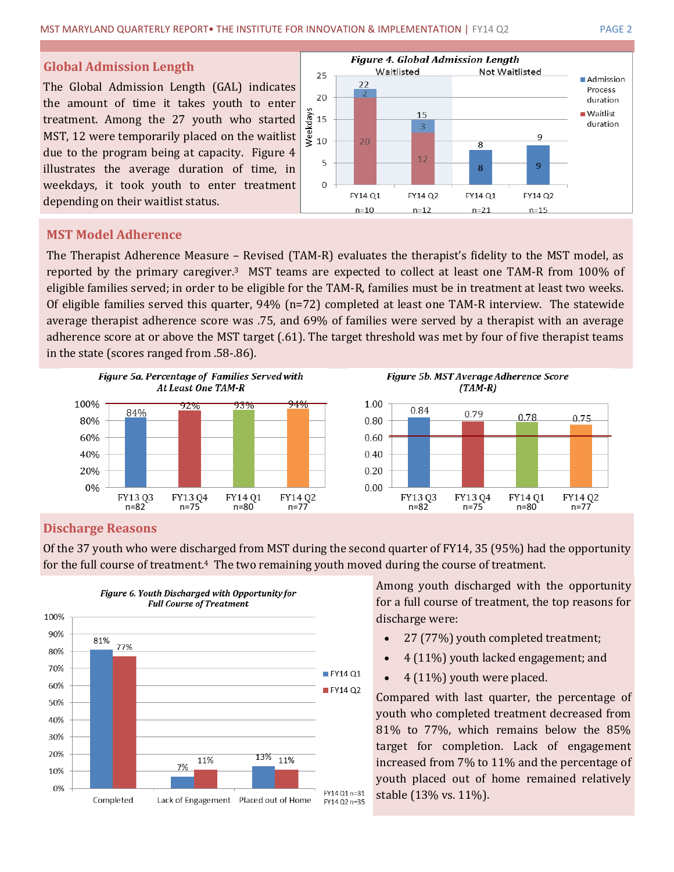#### **Global Admission Length**

The Global Admission Length (GAL) indicates the amount of time it takes youth to enter treatment. Among the 27 youth who started MST, 12 were temporarily placed on the waitlist due to the program being at capacity. Figure 4 illustrates the average duration of time, in weekdays, it took youth to enter treatment depending on their waitlist status.



# **MST Model Adherence**

The Therapist Adherence Measure – Revised (TAM-R) evaluates the therapist's fidelity to the MST model, as reported by the primary caregiver.3 MST teams are expected to collect at least one TAM-R from 100% of eligible families served; in order to be eligible for the TAM-R, families must be in treatment at least two weeks. Of eligible families served this quarter, 94% (n=72) completed at least one TAM-R interview. The statewide average therapist adherence score was .75, and 69% of families were served by a therapist with an average adherence score at or above the MST target (.61). The target threshold was met by four of five therapist teams in the state (scores ranged from .58-.86).





### **Discharge Reasons**

Of the 37 youth who were discharged from MST during the second quarter of FY14, 35 (95%) had the opportunity for the full course of treatment.<sup>4</sup>The two remaining youth moved during the course of treatment.



Among youth discharged with the opportunity for a full course of treatment, the top reasons for discharge were:

- 27 (77%) youth completed treatment;
- 4 (11%) youth lacked engagement; and
- 4 (11%) youth were placed.

Compared with last quarter, the percentage of youth who completed treatment decreased from 81% to 77%, which remains below the 85% target for completion. Lack of engagement increased from 7% to 11% and the percentage of youth placed out of home remained relatively stable (13% vs. 11%).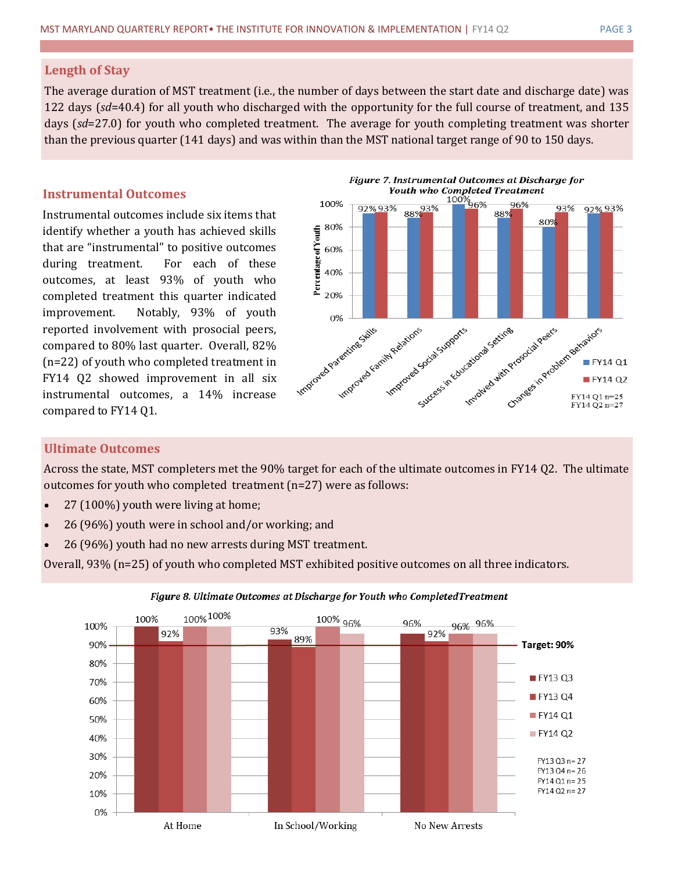#### **Length of Stay**

The average duration of MST treatment (i.e., the number of days between the start date and discharge date) was 122 days (*sd*=40.4) for all youth who discharged with the opportunity for the full course of treatment, and 135 days (*sd*=27.0) for youth who completed treatment. The average for youth completing treatment was shorter than the previous quarter (141 days) and was within than the MST national target range of 90 to 150 days.

### **Instrumental Outcomes**

Instrumental outcomes include six items that identify whether a youth has achieved skills that are "instrumental" to positive outcomes during treatment. For each of these outcomes, at least 93% of youth who completed treatment this quarter indicated improvement. Notably, 93% of youth reported involvement with prosocial peers, compared to 80% last quarter. Overall, 82% (n=22) of youth who completed treatment in FY14 Q2 showed improvement in all six instrumental outcomes, a 14% increase compared to FY14 Q1.





### **Ultimate Outcomes**

Across the state, MST completers met the 90% target for each of the ultimate outcomes in FY14 Q2. The ultimate outcomes for youth who completed treatment (n=27) were as follows:

- 27 (100%) youth were living at home;
- 26 (96%) youth were in school and/or working; and
- 26 (96%) youth had no new arrests during MST treatment.

Overall, 93% (n=25) of youth who completed MST exhibited positive outcomes on all three indicators.



#### Figure 8. Ultimate Outcomes at Discharge for Youth who CompletedTreatment